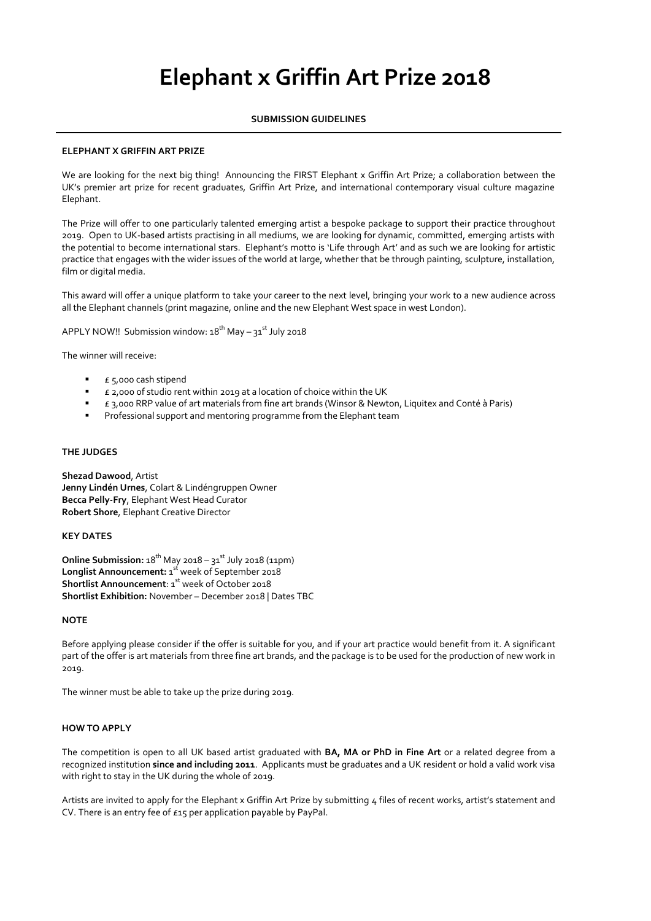# **Elephant x Griffin Art Prize 2018**

# **SUBMISSION GUIDELINES**

## **ELEPHANT X GRIFFIN ART PRIZE**

We are looking for the next big thing! Announcing the FIRST Elephant x Griffin Art Prize; a collaboration between the UK's premier art prize for recent graduates, Griffin Art Prize, and international contemporary visual culture magazine Elephant.

The Prize will offer to one particularly talented emerging artist a bespoke package to support their practice throughout 2019. Open to UK-based artists practising in all mediums, we are looking for dynamic, committed, emerging artists with the potential to become international stars. Elephant's motto is 'Life through Art' and as such we are looking for artistic practice that engages with the wider issues of the world at large, whether that be through painting, sculpture, installation, film or digital media.

This award will offer a unique platform to take your career to the next level, bringing your work to a new audience across all the Elephant channels (print magazine, online and the new Elephant West space in west London).

APPLY NOW!! Submission window: 18<sup>th</sup> May – 31<sup>st</sup> July 2018

The winner will receive:

- £ 5,000 cash stipend
- £ 2,000 of studio rent within 2019 at a location of choice within the UK
- £ 3,000 RRP value of art materials from fine art brands (Winsor & Newton, Liquitex and Conté à Paris)
- Professional support and mentoring programme from the Elephant team

## **THE JUDGES**

**Shezad Dawood**, Artist **Jenny Lindén Urnes**, Colart & Lindéngruppen Owner **Becca Pelly-Fry**, Elephant West Head Curator **Robert Shore**, Elephant Creative Director

# **KEY DATES**

**Online Submission:**  $18^{th}$  May 2018 –  $31^{st}$  July 2018 (11pm) Longlist Announcement: 1<sup>st</sup> week of September 2018 Shortlist Announcement: 1<sup>st</sup> week of October 2018 **Shortlist Exhibition:** November – December 2018 | Dates TBC

### **NOTE**

Before applying please consider if the offer is suitable for you, and if your art practice would benefit from it. A significant part of the offer is art materials from three fine art brands, and the package is to be used for the production of new work in 2019.

The winner must be able to take up the prize during 2019.

### **HOW TO APPLY**

The competition is open to all UK based artist graduated with **BA, MA or PhD in Fine Art** or a related degree from a recognized institution **since and including 2011**. Applicants must be graduates and a UK resident or hold a valid work visa with right to stay in the UK during the whole of 2019.

Artists are invited to apply for the Elephant x Griffin Art Prize by submitting 4 files of recent works, artist's statement and CV. There is an entry fee of £15 per application payable by PayPal.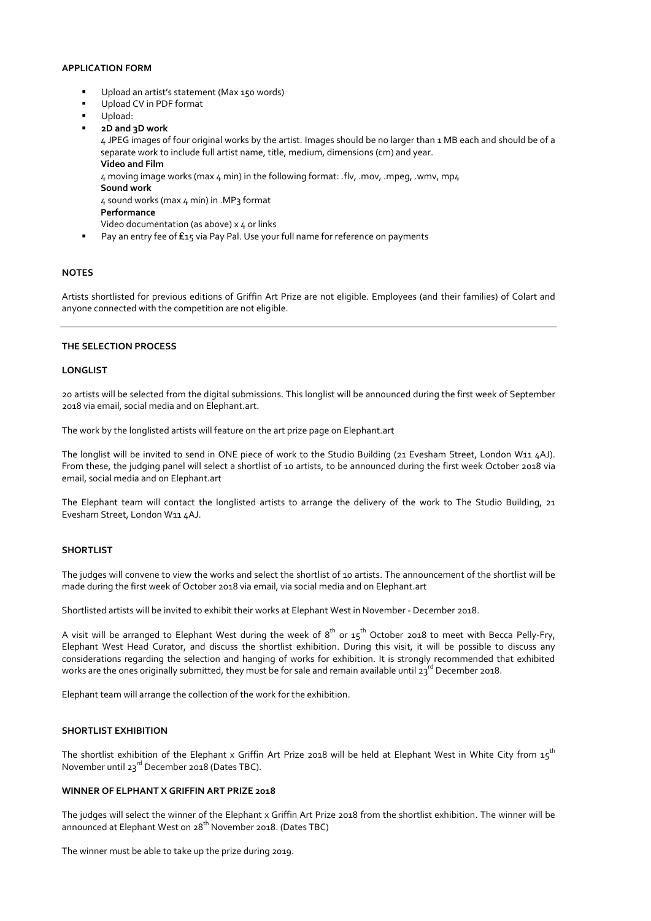## **APPLICATION FORM**

- Upload an artist's statement (Max 150 words)
- Upload CV in PDF format
- Upload:
- **2D and 3D work**

4 JPEG images of four original works by the artist. Images should be no larger than 1 MB each and should be of a separate work to include full artist name, title, medium, dimensions (cm) and year. **Video and Film**

4 moving image works (max 4 min) in the following format: *.*flv, .mov, .mpeg, .wmv, mp4 **Sound work**

 $\Delta$  sound works (max  $\Delta$  min) in .MP3 format

**Performance**

Video documentation (as above) x 4 or links

■ Pay an entry fee of £15 via Pay Pal. Use your full name for reference on payments

### **NOTES**

Artists shortlisted for previous editions of Griffin Art Prize are not eligible. Employees (and their families) of Colart and anyone connected with the competition are not eligible.

#### **THE SELECTION PROCESS**

#### **LONGLIST**

20 artists will be selected from the digital submissions. This longlist will be announced during the first week of September 2018 via email, social media and on Elephant.art.

The work by the longlisted artists will feature on the art prize page on Elephant.art

The longlist will be invited to send in ONE piece of work to the Studio Building (21 Evesham Street, London W11 4AJ). From these, the judging panel will select a shortlist of 10 artists, to be announced during the first week October 2018 via email, social media and on Elephant.art

The Elephant team will contact the longlisted artists to arrange the delivery of the work to The Studio Building, 21 Evesham Street, London W11 4AJ.

### **SHORTLIST**

The judges will convene to view the works and select the shortlist of 10 artists. The announcement of the shortlist will be made during the first week of October 2018 via email, via social media and on Elephant.art

Shortlisted artists will be invited to exhibit their works at Elephant West in November - December 2018.

A visit will be arranged to Elephant West during the week of  $8^{\text{th}}$  or  $15^{\text{th}}$  October 2018 to meet with Becca Pelly-Fry, Elephant West Head Curator, and discuss the shortlist exhibition. During this visit, it will be possible to discuss any considerations regarding the selection and hanging of works for exhibition. It is strongly recommended that exhibited works are the ones originally submitted, they must be for sale and remain available until 23<sup>rd</sup> December 2018.

Elephant team will arrange the collection of the work for the exhibition.

### **SHORTLIST EXHIBITION**

The shortlist exhibition of the Elephant x Griffin Art Prize 2018 will be held at Elephant West in White City from  $15^{th}$ November until 23<sup>rd</sup> December 2018 (Dates TBC).

## **WINNER OF ELPHANT X GRIFFIN ART PRIZE 2018**

The judges will select the winner of the Elephant x Griffin Art Prize 2018 from the shortlist exhibition. The winner will be announced at Elephant West on 28<sup>th</sup> November 2018. (Dates TBC)

The winner must be able to take up the prize during 2019.